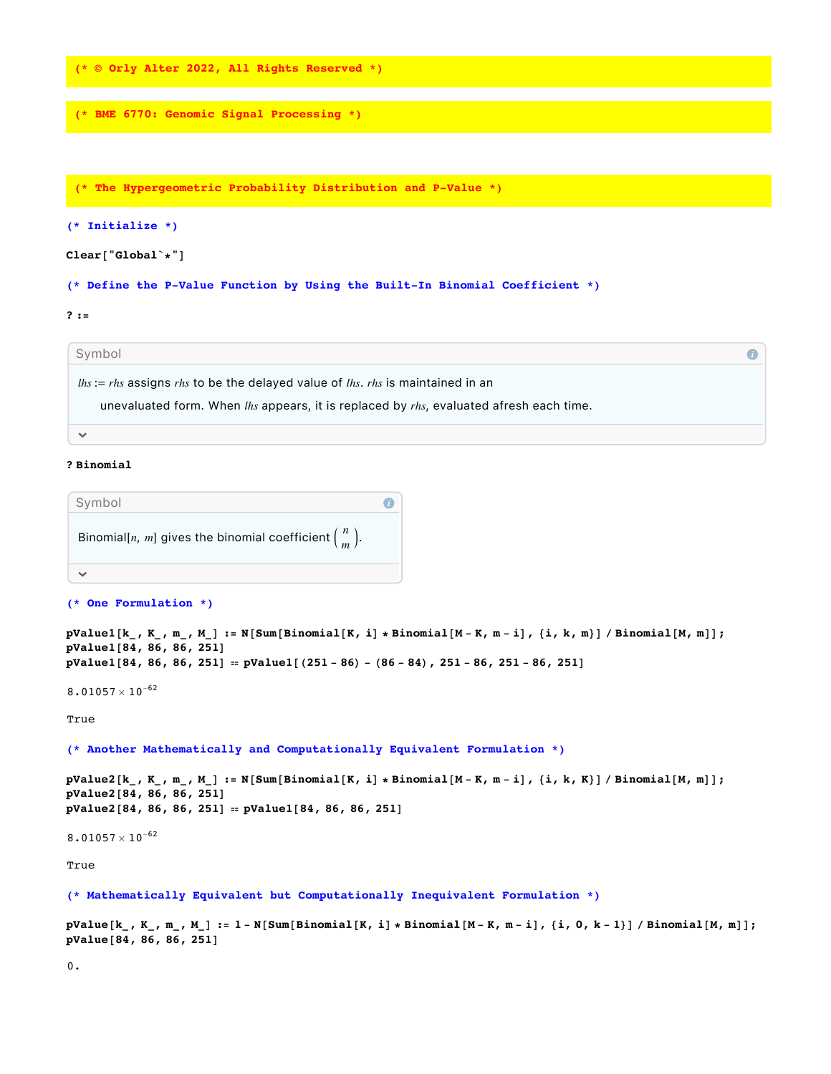**(\* © Orly Alter 2022, All Rights Reserved \*)**

**(\* BME 6770: Genomic Signal Processing \*)**

**(\* The Hypergeometric Probability Distribution and P-Value \*)**

# **(\* Initialize \*)**

# **Clear["Global`\*"]**

**(\* Define the P-Value Function by Using the Built-In Binomial Coefficient \*)**

## **? :=**

Symbol

*lhs* := *rhs* assigns *rhs* to be the delayed value of *lhs*. *rhs* is maintained in an

unevaluated form. When *lhs* appears, it is replaced by *rhs*, evaluated afresh each time.

#### $\checkmark$

### **? Binomial**

| Symbol                                                         |  |
|----------------------------------------------------------------|--|
| Binomial[n, m] gives the binomial coefficient $\binom{n}{m}$ . |  |
|                                                                |  |

### **(\* One Formulation \*)**

```
pValue1[k_, K_-, m_-, M_]: = N[Sum[Binomial[K, i] * Binomial[M - K, m - i], {i, k, m}] / Binomial[M, m]];pValue1[84, 86, 86, 251]
pValue1[84, 86, 86, 251] = pValue1[(251 - 86) - (86 - 84), 251 - 86, 251 - 86, 251]
```
 $\bullet$ 

 $8.01057 \times 10^{-62}$ 

True

**(\* Another Mathematically and Computationally Equivalent Formulation \*)**

```
pValue{[k_, K_, m_, M_{i}]} := N[Sum[Binomial[K, i] * Binomial[M - K, m - i], {i, k, K}] / Binomial[M, m];pValue2[84, 86, 86, 251]
pValue2[84, 86, 86, 251] ⩵ pValue1[84, 86, 86, 251]
```
 $8.01057 \times 10^{-62}$ 

True

**(\* Mathematically Equivalent but Computationally Inequivalent Formulation \*)**

 $pValue[k_ , K_ , m_ , M_ ] := 1 - N[Sum[Binomial[K, i] * Binomial[M - K, m - i], {i, 0, k - 1}] / Binomial[M, m]];$ **pValue[84, 86, 86, 251]**

0.